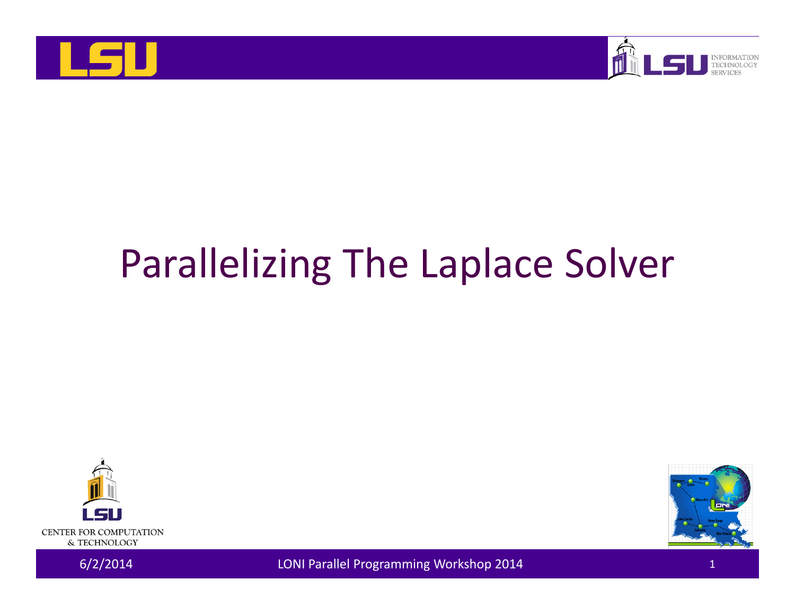



# Parallelizing The Laplace Solver





6/2/2014 LONI Parallel Programming Workshop 2014 <sup>1</sup>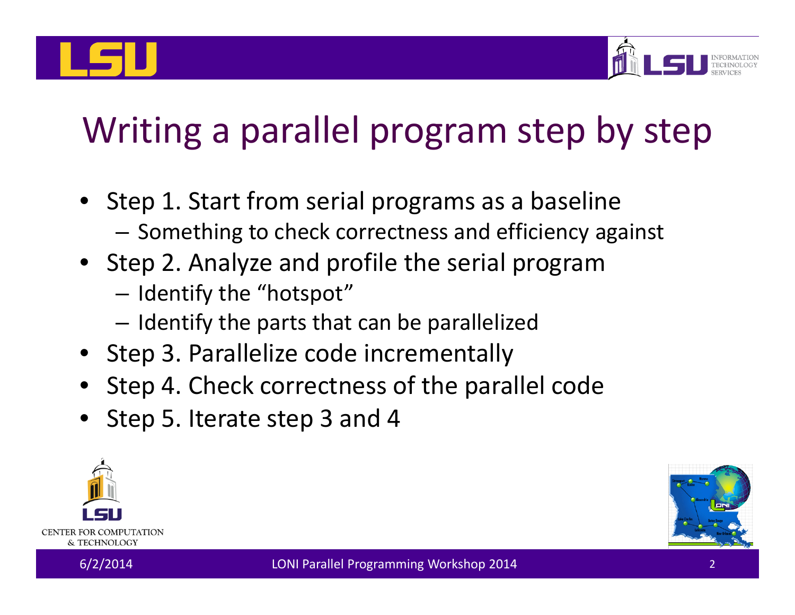

## Writing <sup>a</sup> parallel program step by step

- Step 1. Start from serial programs as <sup>a</sup> baseline  $-$  Something to check correctness and efficiency against
- Step 2. Analyze and profile the serial program
	- $-$  Identify the "hotspot"
	- $-$  Identify the parts that can be parallelized
- Step 3. Parallelize code incrementally
- Step 4. Check correctness of the parallel code
- Step 5. Iterate step 3 and 4



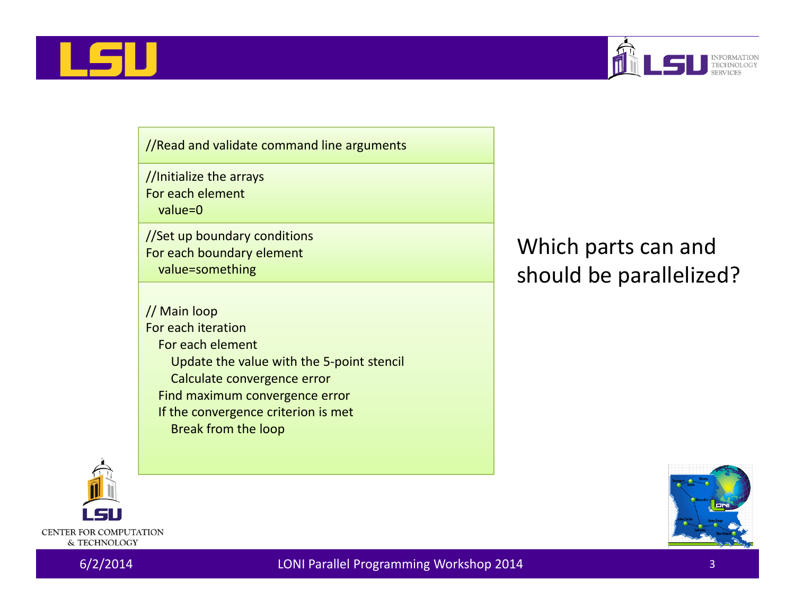



//Read and validate command line arguments

//Initialize the arrays

For each element

value=0

//Set up boundary conditions For each boundary element value=something

// Main loop For each iteration For each element Update the value with the 5‐point stencil Calculate convergence error Find maximum convergence error If the convergence criterion is met Break from the loop

### Which parts can and should be parallelized?



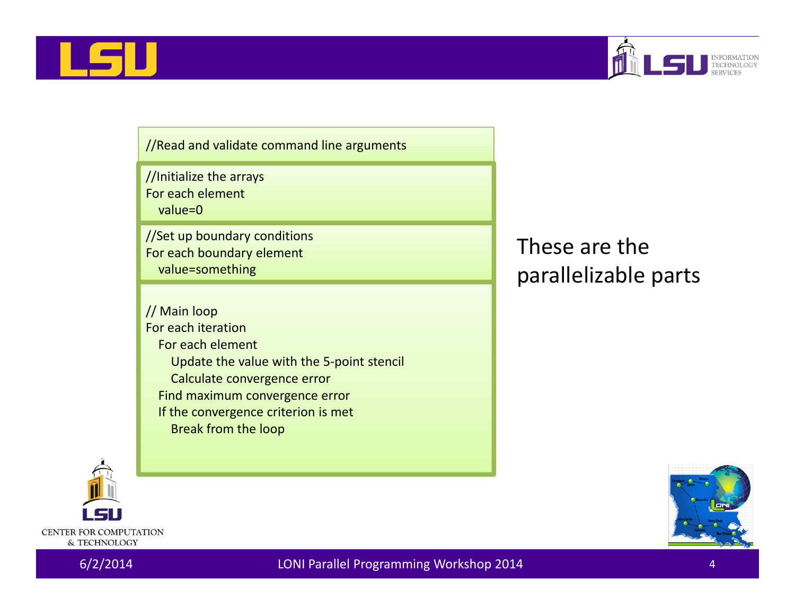



//Read and validate command line arguments

//Initialize the arrays

For each element

value=0

//Set up boundary conditions For each boundary element value=something

// Main loop For each iteration For each element Update the value with the 5‐point stencil Calculate convergence error Find maximum convergence error If the convergence criterion is met Break from the loop

These are the parallelizable parts





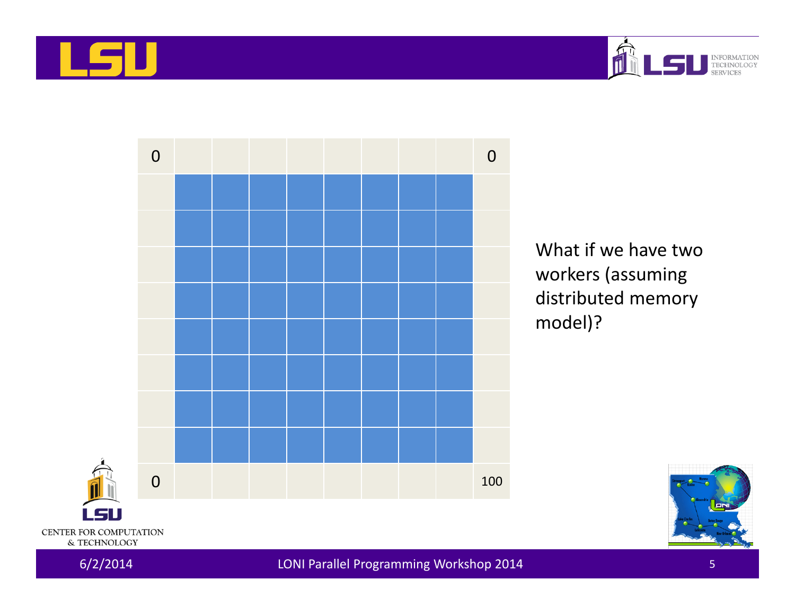





What if we have two workers (assuming distributed memory model)?



6/2/2014 LONI Parallel Programming Workshop 2014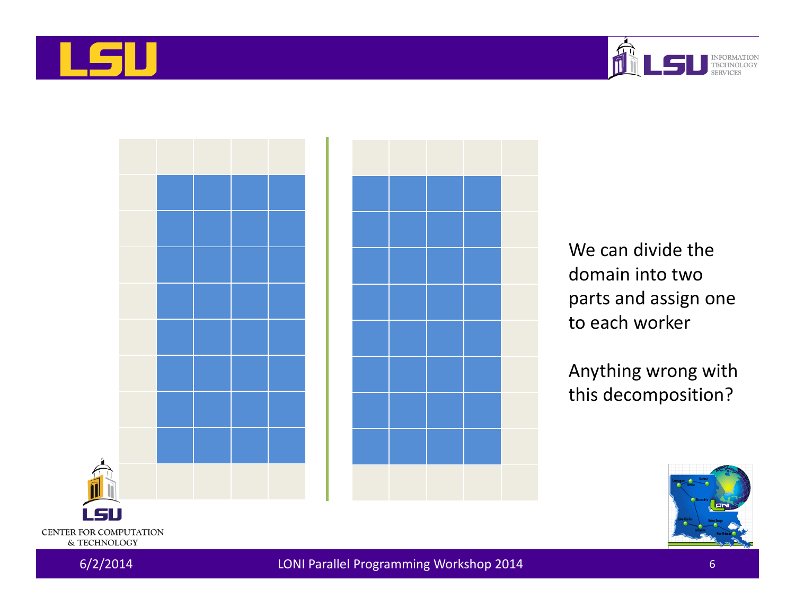





We can divide the domain into two parts and assign one to each worker

Anything wrong with this decomposition?

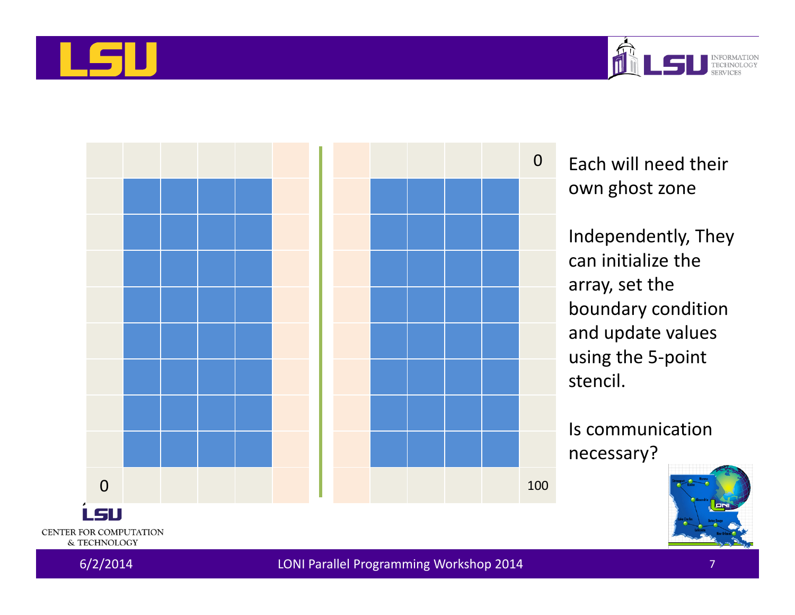





Each will need their own ghost zone

Independently, They can initialize the array, set the boundary condition and update values using the 5‐point stencil.

Is communicationnecessary?

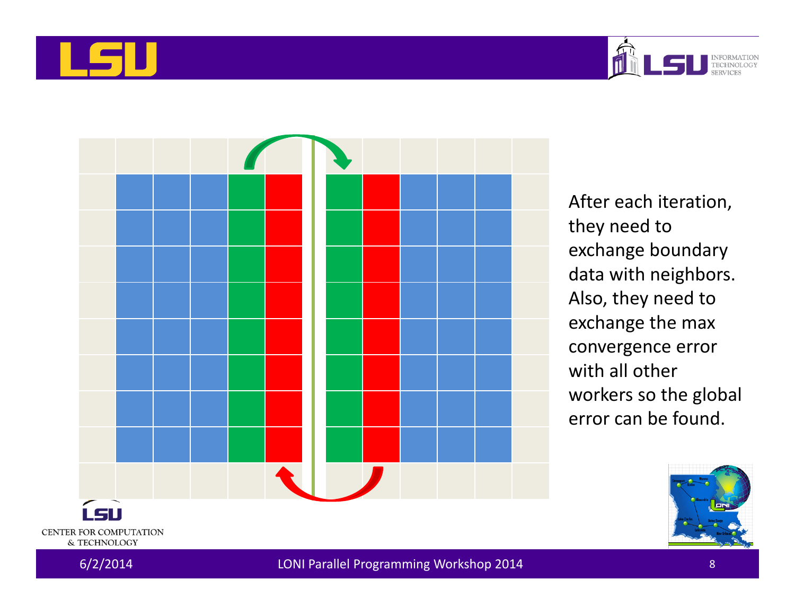





After each iteration, they need to exchange boundary data with neighbors. Also, they need to exchange the max convergence error with all other workers so the global error can be found.

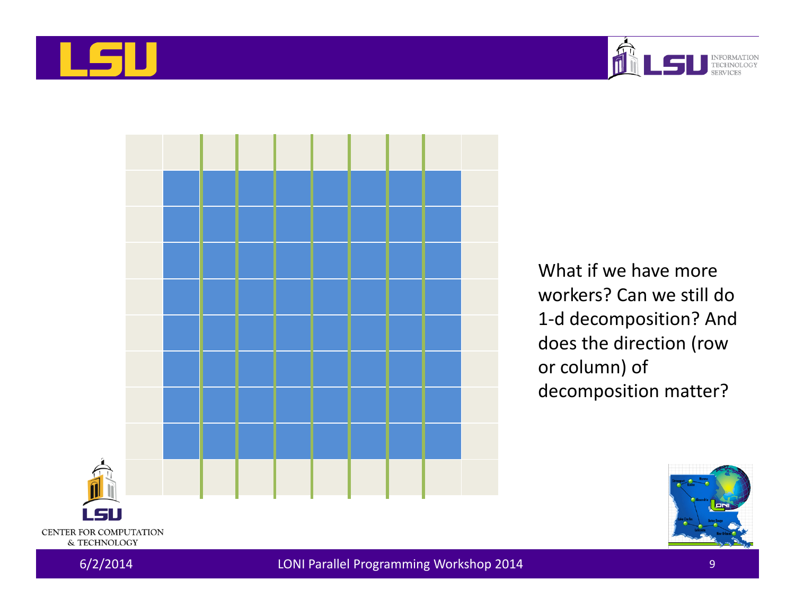





What if we have more workers? Can we still do 1‐d decomposition? And does the direction (row or column) of decomposition matter?

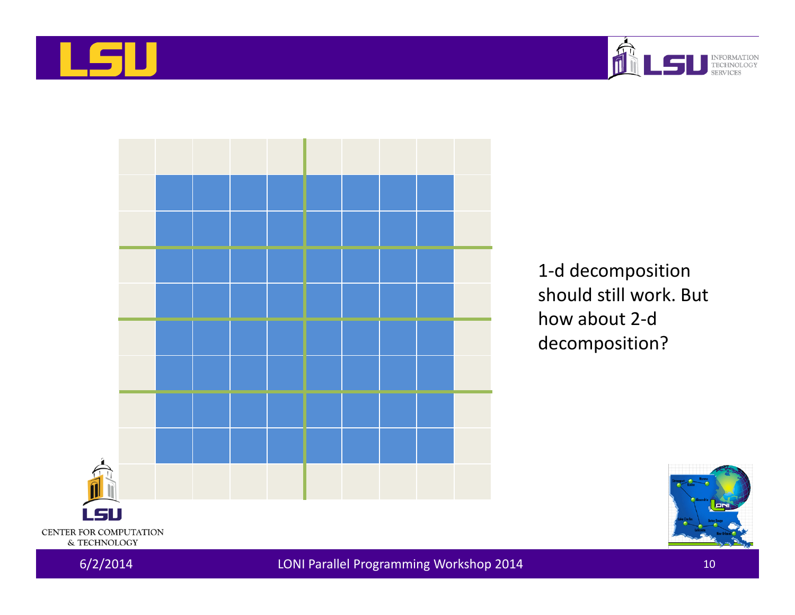





1‐d decomposition should still work. But how about 2‐d decomposition?



6/2/2014 LONI Parallel Programming Workshop 2014 <sup>10</sup>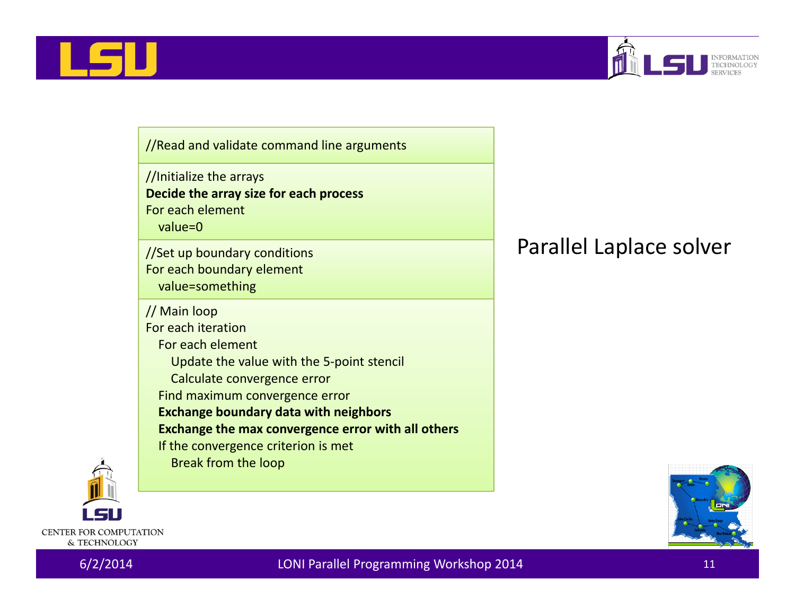



//Read and validate command line arguments

//Initialize the arrays **Decide the array size for each process** For each element value=0

//Set up boundary conditions For each boundary element value=something

// Main loop

For each iteration

For each element

Update the value with the 5‐point stencil

Calculate convergence error

Find maximum convergence error

**Exchange boundary data with neighbors**

**Exchange the max convergence error with all others**

If the convergence criterion is met

Break from the loop

### Parallel Laplace solver





CENTER FOR COMPUTATION & TECHNOLOGY